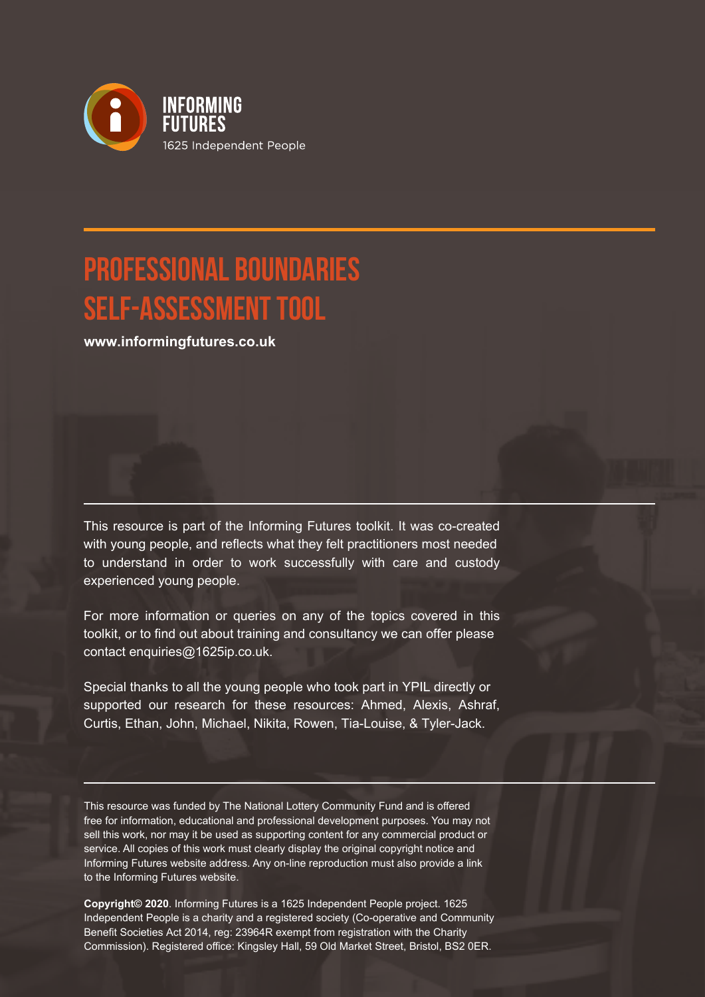

# **PROFESSIONAL BOUNDARIES SELF-ASSESSMENT TOOL**

**www.informingfutures.co.uk**

This resource is part of the Informing Futures toolkit. It was co-created with young people, and reflects what they felt practitioners most needed to understand in order to work successfully with care and custody experienced young people.

For more information or queries on any of the topics covered in this toolkit, or to find out about training and consultancy we can offer please contact enquiries@1625ip.co.uk.

Special thanks to all the young people who took part in YPIL directly or supported our research for these resources: Ahmed, Alexis, Ashraf, Curtis, Ethan, John, Michael, Nikita, Rowen, Tia-Louise, & Tyler-Jack.

This resource was funded by The National Lottery Community Fund and is offered free for information, educational and professional development purposes. You may not sell this work, nor may it be used as supporting content for any commercial product or service. All copies of this work must clearly display the original copyright notice and Informing Futures website address. Any on-line reproduction must also provide a link to the Informing Futures website.

**Copyright© 2020**. Informing Futures is a 1625 Independent People project. 1625 Independent People is a charity and a registered society (Co-operative and Community Benefit Societies Act 2014, reg: 23964R exempt from registration with the Charity Commission). Registered office: Kingsley Hall, 59 Old Market Street, Bristol, BS2 0ER.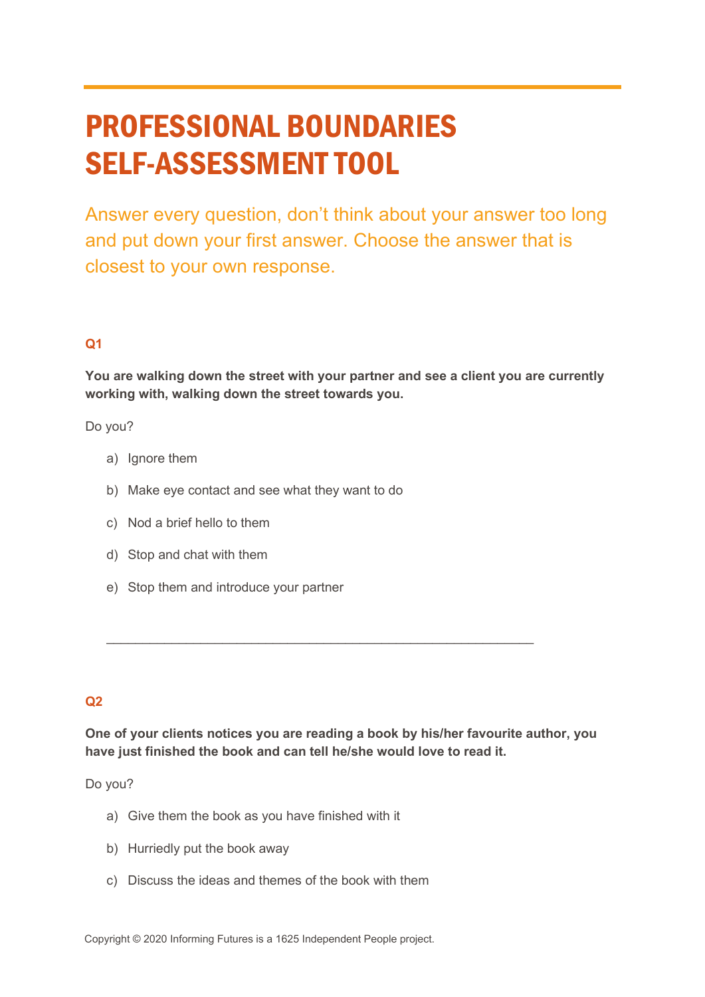# PROFESSIONAL BOUNDARIES SELF-ASSESSMENT TOOL

Answer every question, don't think about your answer too long and put down your first answer. Choose the answer that is closest to your own response.

## **Q1**

**You are walking down the street with your partner and see a client you are currently working with, walking down the street towards you.** 

Do you?

- a) Ignore them
- b) Make eye contact and see what they want to do
- c) Nod a brief hello to them
- d) Stop and chat with them
- e) Stop them and introduce your partner

#### **Q2**

**One of your clients notices you are reading a book by his/her favourite author, you have just finished the book and can tell he/she would love to read it.**

 $\_$  , and the set of the set of the set of the set of the set of the set of the set of the set of the set of the set of the set of the set of the set of the set of the set of the set of the set of the set of the set of th

Do you?

- a) Give them the book as you have finished with it
- b) Hurriedly put the book away
- c) Discuss the ideas and themes of the book with them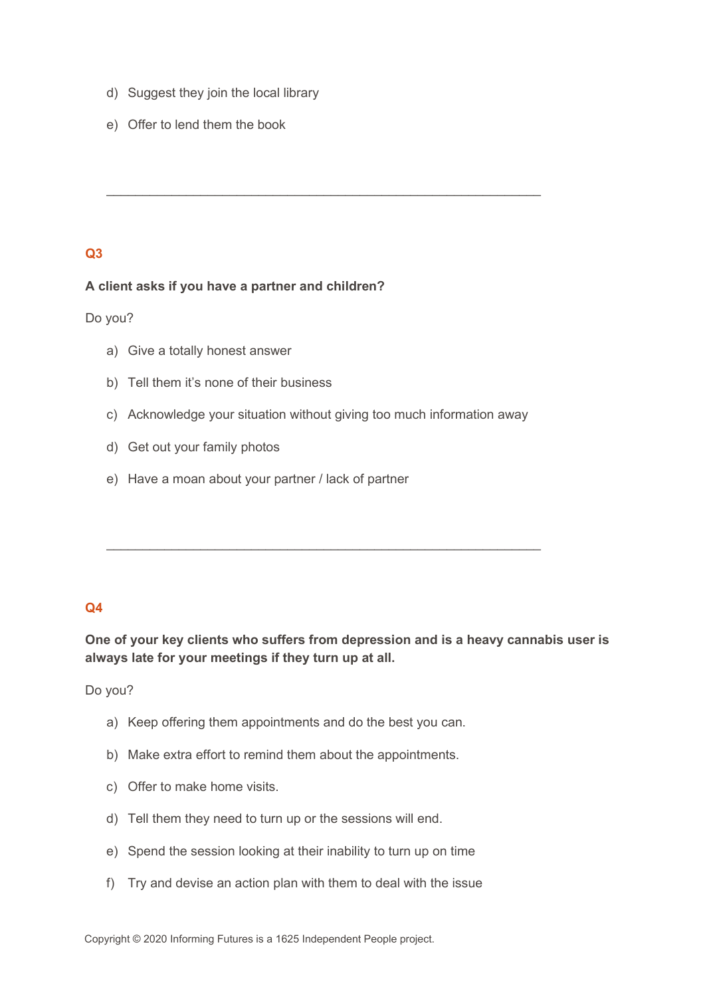- d) Suggest they join the local library
- e) Offer to lend them the book

#### **A client asks if you have a partner and children?**

Do you?

- a) Give a totally honest answer
- b) Tell them it's none of their business
- c) Acknowledge your situation without giving too much information away

 $\_$  , and the set of the set of the set of the set of the set of the set of the set of the set of the set of the set of the set of the set of the set of the set of the set of the set of the set of the set of the set of th

 $\_$  , and the set of the set of the set of the set of the set of the set of the set of the set of the set of the set of the set of the set of the set of the set of the set of the set of the set of the set of the set of th

- d) Get out your family photos
- e) Have a moan about your partner / lack of partner

## **Q4**

**One of your key clients who suffers from depression and is a heavy cannabis user is always late for your meetings if they turn up at all.** 

Do you?

- a) Keep offering them appointments and do the best you can.
- b) Make extra effort to remind them about the appointments.
- c) Offer to make home visits.
- d) Tell them they need to turn up or the sessions will end.
- e) Spend the session looking at their inability to turn up on time
- f) Try and devise an action plan with them to deal with the issue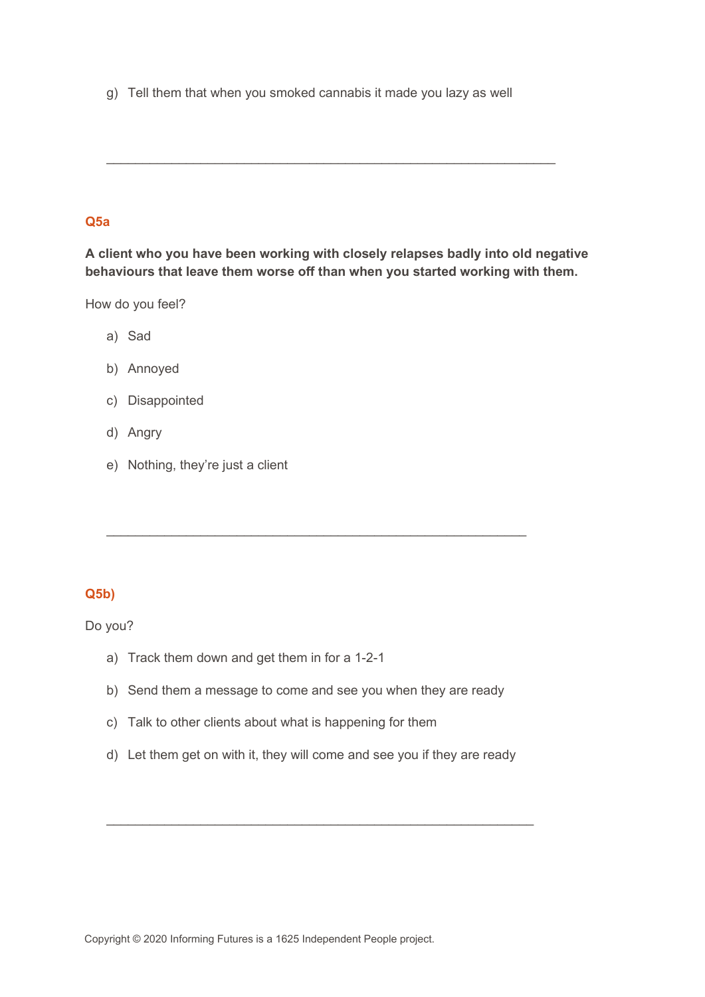g) Tell them that when you smoked cannabis it made you lazy as well

## **Q5a**

**A client who you have been working with closely relapses badly into old negative behaviours that leave them worse off than when you started working with them.**

 $\_$  , and the set of the set of the set of the set of the set of the set of the set of the set of the set of the set of the set of the set of the set of the set of the set of the set of the set of the set of the set of th

How do you feel?

- a) Sad
- b) Annoyed
- c) Disappointed
- d) Angry
- e) Nothing, they're just a client

## **Q5b)**

Do you?

- a) Track them down and get them in for a 1-2-1
- b) Send them a message to come and see you when they are ready

\_\_\_\_\_\_\_\_\_\_\_\_\_\_\_\_\_\_\_\_\_\_\_\_\_\_\_\_\_\_\_\_\_\_\_\_\_\_\_\_\_\_\_\_\_\_\_\_\_\_\_\_\_\_\_\_\_\_

- c) Talk to other clients about what is happening for them
- d) Let them get on with it, they will come and see you if they are ready

\_\_\_\_\_\_\_\_\_\_\_\_\_\_\_\_\_\_\_\_\_\_\_\_\_\_\_\_\_\_\_\_\_\_\_\_\_\_\_\_\_\_\_\_\_\_\_\_\_\_\_\_\_\_\_\_\_\_\_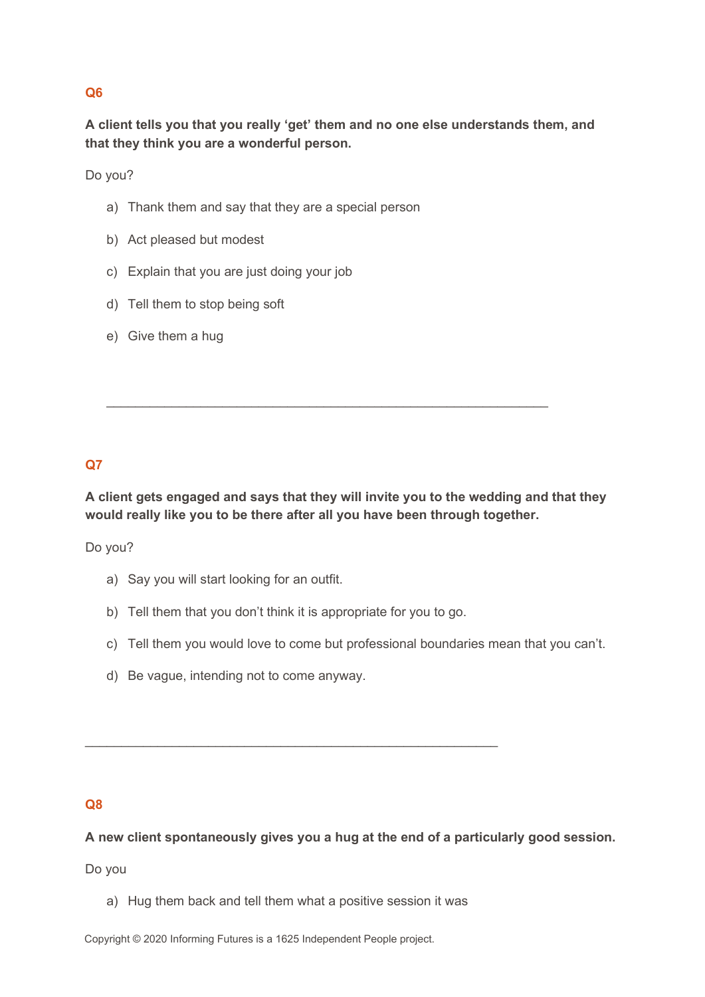**A client tells you that you really 'get' them and no one else understands them, and that they think you are a wonderful person.**

Do you?

- a) Thank them and say that they are a special person
- b) Act pleased but modest
- c) Explain that you are just doing your job
- d) Tell them to stop being soft
- e) Give them a hug

## **Q7**

**A client gets engaged and says that they will invite you to the wedding and that they would really like you to be there after all you have been through together.**

 $\_$  , and the set of the set of the set of the set of the set of the set of the set of the set of the set of the set of the set of the set of the set of the set of the set of the set of the set of the set of the set of th

Do you?

- a) Say you will start looking for an outfit.
- b) Tell them that you don't think it is appropriate for you to go.

\_\_\_\_\_\_\_\_\_\_\_\_\_\_\_\_\_\_\_\_\_\_\_\_\_\_\_\_\_\_\_\_\_\_\_\_\_\_\_\_\_\_\_\_\_\_\_\_\_\_\_\_\_\_\_\_\_

- c) Tell them you would love to come but professional boundaries mean that you can't.
- d) Be vague, intending not to come anyway.

#### **Q8**

**A new client spontaneously gives you a hug at the end of a particularly good session.**

Do you

a) Hug them back and tell them what a positive session it was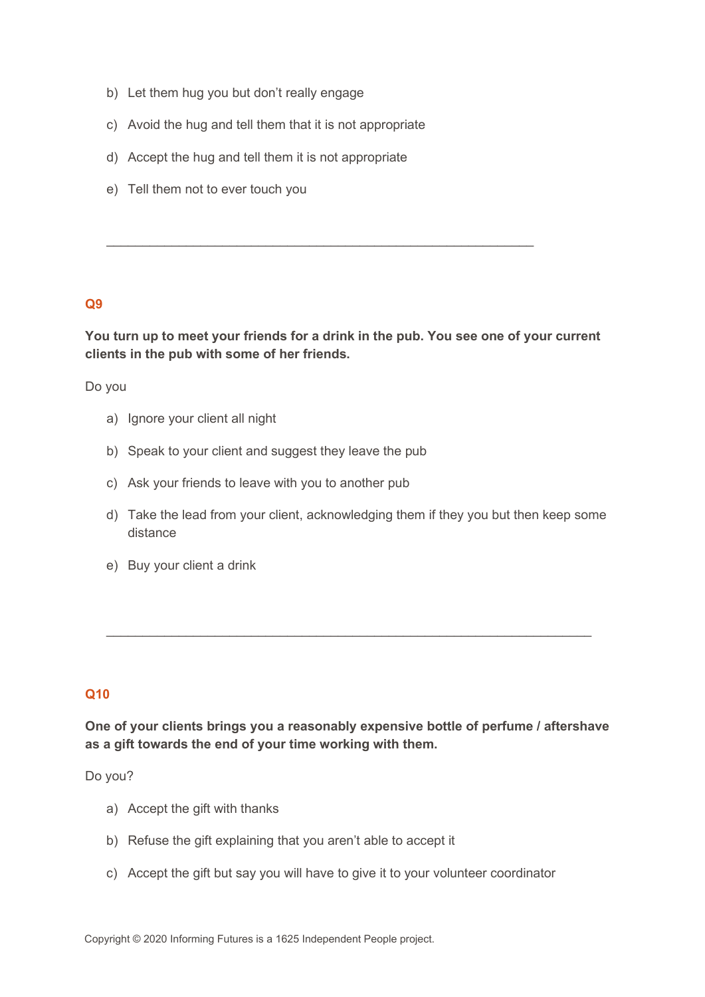- b) Let them hug you but don't really engage
- c) Avoid the hug and tell them that it is not appropriate
- d) Accept the hug and tell them it is not appropriate
- e) Tell them not to ever touch you

**You turn up to meet your friends for a drink in the pub. You see one of your current clients in the pub with some of her friends.** 

\_\_\_\_\_\_\_\_\_\_\_\_\_\_\_\_\_\_\_\_\_\_\_\_\_\_\_\_\_\_\_\_\_\_\_\_\_\_\_\_\_\_\_\_\_\_\_\_\_\_\_\_\_\_\_\_\_\_\_

Do you

- a) Ignore your client all night
- b) Speak to your client and suggest they leave the pub
- c) Ask your friends to leave with you to another pub
- d) Take the lead from your client, acknowledging them if they you but then keep some distance
- e) Buy your client a drink

## **Q10**

**One of your clients brings you a reasonably expensive bottle of perfume / aftershave as a gift towards the end of your time working with them.**

 $\_$  , and the set of the set of the set of the set of the set of the set of the set of the set of the set of the set of the set of the set of the set of the set of the set of the set of the set of the set of the set of th

Do you?

- a) Accept the gift with thanks
- b) Refuse the gift explaining that you aren't able to accept it
- c) Accept the gift but say you will have to give it to your volunteer coordinator